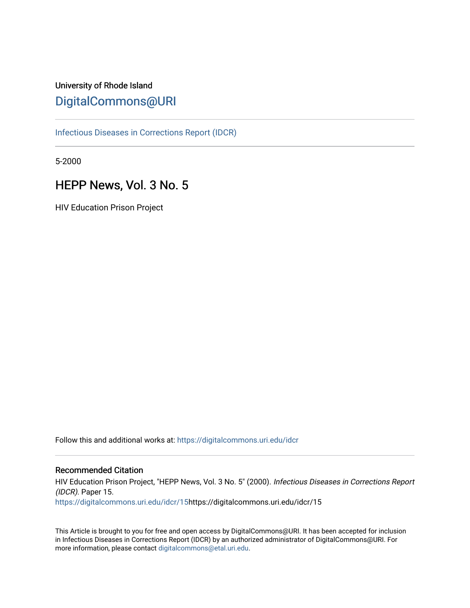# University of Rhode Island [DigitalCommons@URI](https://digitalcommons.uri.edu/)

[Infectious Diseases in Corrections Report \(IDCR\)](https://digitalcommons.uri.edu/idcr)

5-2000

# HEPP News, Vol. 3 No. 5

HIV Education Prison Project

Follow this and additional works at: [https://digitalcommons.uri.edu/idcr](https://digitalcommons.uri.edu/idcr?utm_source=digitalcommons.uri.edu%2Fidcr%2F15&utm_medium=PDF&utm_campaign=PDFCoverPages)

### Recommended Citation

HIV Education Prison Project, "HEPP News, Vol. 3 No. 5" (2000). Infectious Diseases in Corrections Report (IDCR). Paper 15. [https://digitalcommons.uri.edu/idcr/15h](https://digitalcommons.uri.edu/idcr/15?utm_source=digitalcommons.uri.edu%2Fidcr%2F15&utm_medium=PDF&utm_campaign=PDFCoverPages)ttps://digitalcommons.uri.edu/idcr/15

This Article is brought to you for free and open access by DigitalCommons@URI. It has been accepted for inclusion in Infectious Diseases in Corrections Report (IDCR) by an authorized administrator of DigitalCommons@URI. For more information, please contact [digitalcommons@etal.uri.edu.](mailto:digitalcommons@etal.uri.edu)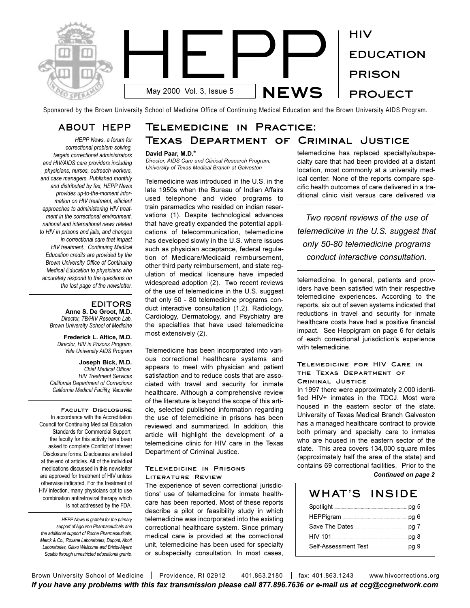

Sponsored by the Brown University School of Medicine Office of Continuing Medical Education and the Brown University AIDS Program.

### **ABOUT HEPP**

*HEPP News, a forum for correctional problem solving, targets correctional administrators and HIV/AIDS care providers including physicians, nurses, outreach workers, and case managers. Published monthly and distributed by fax, HEPP News provides up-to-the-moment information on HIV treatment, efficient approaches to administering HIV treatment in the correctional environment, national and international news related to HIV in prisons and jails, and changes in correctional care that impact HIV treatment. Continuing Medical Education credits are provided by the Brown University Office of Continuing Medical Education to physicians who accurately respond to the questions on the last page of the newsletter.* 

### **EDITORS**

**Anne S. De Groot, M.D.** *Director, TB/HIV Research Lab, Brown University School of Medicine*

**Frederick L. Altice, M.D.** *Director, HIV in Prisons Program, Yale University AIDS Program*

**Joseph Bick, M.D.** *Chief Medical Officer, HIV Treatment Services California Department of Corrections California Medical Facility, Vacaville*

**Faculty Disclosure**  In accordance with the Accreditation Council for Continuing Medical Education Standards for Commercial Support, the faculty for this activity have been asked to complete Conflict of Interest Disclosure forms. Disclosures are listed at the end of articles. All of the individual medications discussed in this newsletter are approved for treatment of HIV unless otherwise indicated. For the treatment of HIV infection, many physicians opt to use combination antiretroviral therapy which is not addressed by the FDA.

*HEPP News is grateful for the primary support of Agouron Pharmaceuticals and the additional support of Roche Pharmaceuticals, Merck & Co., Roxane Laboratories, Dupont, Abott Laboratories, Glaxo Wellcome and Bristol-Myers Squibb through unrestricted educational grants.*

# **Telemedicine in Practice: Texas Department of Criminal Justice**

#### **David Paar, M.D.\***

*Director, AIDS Care and Clinical Research Program, University of Texas Medical Branch at Galveston*

Telemedicine was introduced in the U.S. in the late 1950s when the Bureau of Indian Affairs used telephone and video programs to train paramedics who resided on indian reservations (1). Despite technological advances that have greatly expanded the potential applications of telecommunication, telemedicine has developed slowly in the U.S. where issues such as physician acceptance, federal regulation of Medicare/Medicaid reimbursement, other third party reimbursement, and state regulation of medical licensure have impeded widespread adoption (2). Two recent reviews of the use of telemedicine in the U.S. suggest that only 50 - 80 telemedicine programs conduct interactive consultation (1,2). Radiology, Cardiology, Dermatology, and Psychiatry are the specialties that have used telemedicine most extensively (2).

Telemedicine has been incorporated into various correctional healthcare systems and appears to meet with physician and patient satisfaction and to reduce costs that are associated with travel and security for inmate healthcare. Although a comprehensive review of the literature is beyond the scope of this article, selected published information regarding the use of telemedicine in prisons has been reviewed and summarized. In addition, this article will highlight the development of a telemedicine clinic for HIV care in the Texas Department of Criminal Justice.

#### **Telemedicine in Prisons Literature Review**

The experience of seven correctional jurisdictions' use of telemedicine for inmate healthcare has been reported. Most of these reports describe a pilot or feasibility study in which telemedicine was incorporated into the existing correctional healthcare system. Since primary medical care is provided at the correctional unit, telemedicine has been used for specialty or subspecialty consultation. In most cases,

telemedicine has replaced specialty/subspecialty care that had been provided at a distant location, most commonly at a university medical center. None of the reports compare specific health outcomes of care delivered in a traditional clinic visit versus care delivered via

*Two recent reviews of the use of telemedicine in the U.S. suggest that only 50-80 telemedicine programs conduct interactive consultation.*

telemedicine. In general, patients and providers have been satisfied with their respective telemedicine experiences. According to the reports, six out of seven systems indicated that reductions in travel and security for inmate healthcare costs have had a positive financial impact. See Heppigram on page 6 for details of each correctional jurisdiction's experience with telemedicine.

### **Telemedicine for HIV Care in the Texas Department of**

**Criminal Justice**

In 1997 there were approximately 2,000 identified HIV+ inmates in the TDCJ. Most were housed in the eastern sector of the state. University of Texas Medical Branch Galveston has a managed healthcare contract to provide both primary and specialty care to inmates who are housed in the eastern sector of the state. This area covers 134,000 square miles (approximately half the area of the state) and contains 69 correctional facilities. Prior to the *Continued on page 2*

| WHAT'S INSIDE |  |
|---------------|--|
|               |  |
|               |  |
|               |  |
| HIV 101       |  |
|               |  |

Brown University School of Medicine | Providence, RI 02912 | 401.863.2180 | fax: 401.863.1243 | www.hivcorrections.org *If you have any problems with this fax transmission please call 877.896.7636 or e-mail us at ccg@ccgnetwork.com*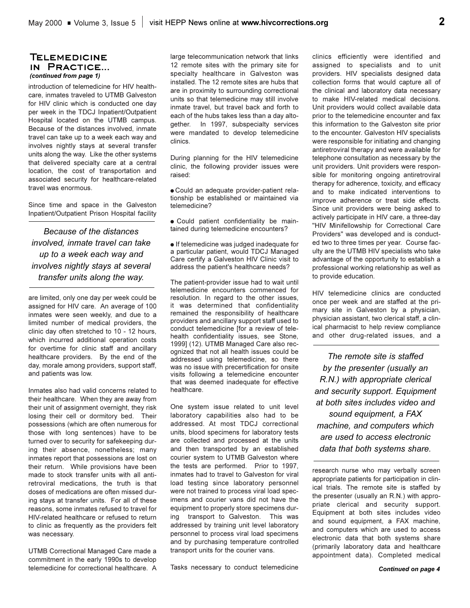### **Telemedicine in Practice...**  *(continued from page 1)*

introduction of telemedicine for HIV healthcare, inmates traveled to UTMB Galveston for HIV clinic which is conducted one day per week in the TDCJ Inpatient/Outpatient Hospital located on the UTMB campus. Because of the distances involved, inmate travel can take up to a week each way and involves nightly stays at several transfer units along the way. Like the other systems that delivered specialty care at a central location, the cost of transportation and associated security for healthcare-related travel was enormous.

Since time and space in the Galveston Inpatient/Outpatient Prison Hospital facility

*Because of the distances involved, inmate travel can take up to a week each way and involves nightly stays at several transfer units along the way.*

are limited, only one day per week could be assigned for HIV care. An average of 100 inmates were seen weekly, and due to a limited number of medical providers, the clinic day often stretched to 10 - 12 hours, which incurred additional operation costs for overtime for clinic staff and ancillary healthcare providers. By the end of the day, morale among providers, support staff, and patients was low.

Inmates also had valid concerns related to their healthcare. When they are away from their unit of assignment overnight, they risk losing their cell or dormitory bed. Their possessions (which are often numerous for those with long sentences) have to be turned over to security for safekeeping during their absence, nonetheless; many inmates report that possessions are lost on their return. While provisions have been made to stock transfer units with all antiretroviral medications, the truth is that doses of medications are often missed during stays at transfer units. For all of these reasons, some inmates refused to travel for HIV-related healthcare or refused to return to clinic as frequently as the providers felt was necessary.

UTMB Correctional Managed Care made a commitment in the early 1990s to develop telemedicine for correctional healthcare. A

large telecommunication network that links 12 remote sites with the primary site for specialty healthcare in Galveston was installed. The 12 remote sites are hubs that are in proximity to surrounding correctional units so that telemedicine may still involve inmate travel, but travel back and forth to each of the hubs takes less than a day altogether. In 1997, subspecialty services were mandated to develop telemedicine clinics.

During planning for the HIV telemedicine clinic, the following provider issues were raised:

l Could an adequate provider-patient relationship be established or maintained via telemedicine?

• Could patient confidentiality be maintained during telemedicine encounters?

**.** If telemedicine was judged inadequate for a particular patient, would TDCJ Managed Care certify a Galveston HIV Clinic visit to address the patient's healthcare needs?

The patient-provider issue had to wait until telemedicine encounters commenced for resolution. In regard to the other issues, it was determined that confidentiality remained the responsibility of healthcare providers and ancillary support staff used to conduct telemedicine [for a review of telehealth confidentiality issues, see Stone, 1999] (12). UTMB Managed Care also recognized that not all health issues could be addressed using telemedicine, so there was no issue with precertification for onsite visits following a telemedicine encounter that was deemed inadequate for effective healthcare.

One system issue related to unit level laboratory capabilities also had to be addressed. At most TDCJ correctional units, blood specimens for laboratory tests are collected and processed at the units and then transported by an established courier system to UTMB Galveston where the tests are performed. Prior to 1997, inmates had to travel to Galveston for viral load testing since laboratory personnel were not trained to process viral load specimens and courier vans did not have the equipment to properly store specimens during transport to Galveston. This was addressed by training unit level laboratory personnel to process viral load specimens and by purchasing temperature controlled transport units for the courier vans.

Tasks necessary to conduct telemedicine

clinics efficiently were identified and assigned to specialists and to unit providers. HIV specialists designed data collection forms that would capture all of the clinical and laboratory data necessary to make HIV-related medical decisions. Unit providers would collect available data prior to the telemedicine encounter and fax this information to the Galveston site prior to the encounter. Galveston HIV specialists were responsible for initiating and changing antiretroviral therapy and were available for telephone consultation as necessary by the unit providers. Unit providers were responsible for monitoring ongoing antiretroviral therapy for adherence, toxicity, and efficacy and to make indicated interventions to improve adherence or treat side effects. Since unit providers were being asked to actively participate in HIV care, a three-day "HIV Minifellowship for Correctional Care Providers" was developed and is conducted two to three times per year. Course faculty are the UTMB HIV specialists who take advantage of the opportunity to establish a professional working relationship as well as to provide education.

HIV telemedicine clinics are conducted once per week and are staffed at the primary site in Galveston by a physician, physician assistant, two clerical staff, a clinical pharmacist to help review compliance and other drug-related issues, and a

*The remote site is staffed by the presenter (usually an R.N.) with appropriate clerical and security support. Equipment at both sites includes video and sound equipment, a FAX machine, and computers which are used to access electronic data that both systems share.*

research nurse who may verbally screen appropriate patients for participation in clinical trials. The remote site is staffed by the presenter (usually an R.N.) with appropriate clerical and security support. Equipment at both sites includes video and sound equipment, a FAX machine, and computers which are used to access electronic data that both systems share (primarily laboratory data and healthcare appointment data). Completed medical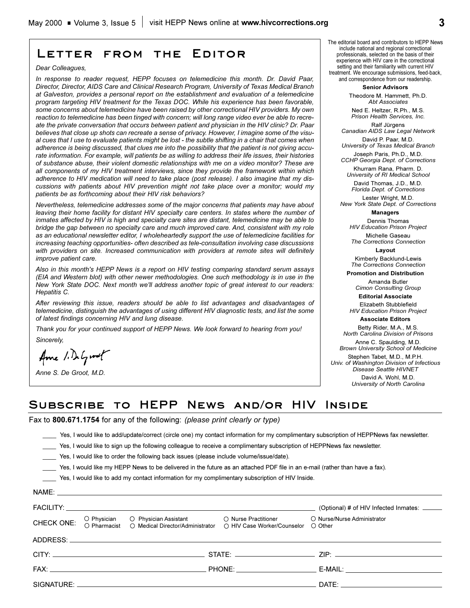*In response to reader request, HEPP focuses on telemedicine this month. Dr. David Paar, Director, Director, AIDS Care and Clinical Research Program, University of Texas Medical Branch at Galveston, provides a personal report on the establishment and evaluation of a telemedicine program targeting HIV treatment for the Texas DOC. While his experience has been favorable, some concerns about telemedicine have been raised by other correctional HIV providers. My own reaction to telemedicine has been tinged with concern; will long range video ever be able to recreate the private conversation that occurs between patient and physician in the HIV clinic? Dr. Paar believes that close up shots can recreate a sense of privacy. However, I imagine some of the visual cues that I use to evaluate patients might be lost - the subtle shifting in a chair that comes when adherence is being discussed, that clues me into the possibility that the patient is not giving accurate information. For example, will patients be as willing to address their life issues, their histories of substance abuse, their violent domestic relationships with me on a video monitor? These are all components of my HIV treatment interviews, since they provide the framework within which adherence to HIV medication will need to take place (post release). I also imagine that my discussions with patients about HIV prevention might not take place over a monitor; would my*

**Letter from the Editor**

*Nevertheless, telemedicine addresses some of the major concerns that patients may have about leaving their home facility for distant HIV specialty care centers. In states where the number of inmates affected by HIV is high and specialty care sites are distant, telemedicine may be able to bridge the gap between no specialty care and much improved care. And, consistent with my role as an educational newsletter editor, I wholeheartedly support the use of telemedicine facilities for increasing teaching opportunities- often described as tele-consultation involving case discussions with providers on site. Increased communication with providers at remote sites will definitely*

*Also in this month's HEPP News is a report on HIV testing comparing standard serum assays (EIA and Western blot) with other newer methodologies. One such methodology is in use in the New York State DOC. Next month we'll address another topic of great interest to our readers:*

*After reviewing this issue, readers should be able to list advantages and disadvantages of telemedicine, distinguish the advantages of using different HIV diagnostic tests, and list the some*

*Thank you for your continued support of HEPP News. We look forward to hearing from you!*

*patients be as forthcoming about their HIV risk behaviors?*

*of latest findings concerning HIV and lung disease.*

#### The editorial board and contributors to HEPP News include national and regional correctional professionals, selected on the basis of their experience with HIV care in the correctional setting and their familiarity with current HIV

treatment. We encourage submissions, feed-back, and correspondence from our readership.

**Senior Advisors**

Theodore M. Hammett, Ph.D. *Abt Associates*

Ned E. Heltzer, R.Ph., M.S. *Prison Health Services, Inc.* Ralf Jürgens

*Canadian AIDS Law Legal Network* David P. Paar, M.D.

*University of Texas Medical Branch* Joseph Paris, Ph.D., M.D.

*CCHP Georgia Dept. of Corrections*  Khurram Rana, Pharm. D.

*University of RI Medical School* David Thomas, J.D., M.D.

*Florida Dept. of Corrections* Lester Wright, M.D.

*New York State Dept. of Corrections* **Managers**

Dennis Thomas

*HIV Education Prison Project* Michelle Gaseau

*The Corrections Connection* **Layout**

Kimberly Backlund-Lewis *The Corrections Connection*

**Promotion and Distribution**

Amanda Butler *Cimon Consulting Group*

**Editorial Associate** 

Elizabeth Stubblefield *HIV Education Prison Project* **Associate Editors**

Betty Rider, M.A., M.S.

*North Carolina Division of Prisons* Anne C. Spaulding, M.D.

*Brown University School of Medicine* Stephen Tabet, M.D., M.P.H.

*Univ. of Washington Division of Infectious Disease Seattle HIVNET*

> David A. Wohl, M.D. *University of North Carolina*

# **Subscribe to HEPP News and/or HIV Inside**

Fax to **800.671.1754** for any of the following: *(please print clearly or type)*

\_\_\_\_ Yes, I would like to add/update/correct (circle one) my contact information for my complimentary subscription of HEPPNews fax newsletter.

Yes, I would like to sign up the following colleague to receive a complimentary subscription of HEPPNews fax newsletter.

\_\_\_\_ Yes, I would like to order the following back issues (please include volume/issue/date).

\_\_\_\_ Yes, I would like my HEPP News to be delivered in the future as an attached PDF file in an e-mail (rather than have a fax).

\_\_\_\_ Yes, I would like to add my contact information for my complimentary subscription of HIV Inside.

|            |                                                                                                                                     | (Optional) # of HIV Infected Inmates: ______                                                                                                                                                                                   |
|------------|-------------------------------------------------------------------------------------------------------------------------------------|--------------------------------------------------------------------------------------------------------------------------------------------------------------------------------------------------------------------------------|
| CHECK ONE: | O Physician O Physician Assistant O Nurse Practitioner<br>O Pharmacist O Medical Director/Administrator O HIV Case Worker/Counselor | O Nurse/Nurse Administrator<br>○ Other                                                                                                                                                                                         |
|            |                                                                                                                                     |                                                                                                                                                                                                                                |
|            |                                                                                                                                     |                                                                                                                                                                                                                                |
|            |                                                                                                                                     |                                                                                                                                                                                                                                |
|            |                                                                                                                                     | DATE: the contract of the contract of the contract of the contract of the contract of the contract of the contract of the contract of the contract of the contract of the contract of the contract of the contract of the cont |

*Anne S. De Groot, M.D.*

Ame 1. DeGroot

*improve patient care.*

*Hepatitis C.* 

*Sincerely,*

*Dear Colleagues,*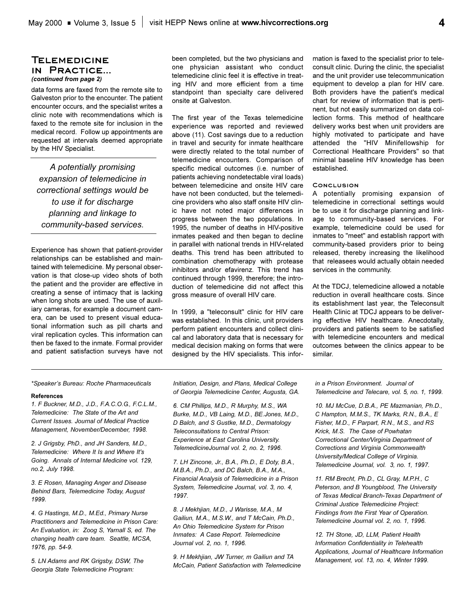### **Telemedicine in Practice...**  *(continued from page 2)*

data forms are faxed from the remote site to Galveston prior to the encounter. The patient encounter occurs, and the specialist writes a clinic note with recommendations which is faxed to the remote site for inclusion in the medical record. Follow up appointments are requested at intervals deemed appropriate by the HIV Specialist.

*A potentially promising expansion of telemedicine in correctional settings would be to use it for discharge planning and linkage to community-based services.*

Experience has shown that patient-provider relationships can be established and maintained with telemedicine. My personal observation is that close-up video shots of both the patient and the provider are effective in creating a sense of intimacy that is lacking when long shots are used. The use of auxiliary cameras, for example a document camera, can be used to present visual educational information such as pill charts and viral replication cycles. This information can then be faxed to the inmate. Formal provider and patient satisfaction surveys have not been completed, but the two physicians and one physician assistant who conduct telemedicine clinic feel it is effective in treating HIV and more efficient from a time standpoint than specialty care delivered onsite at Galveston.

The first year of the Texas telemedicine experience was reported and reviewed above (11). Cost savings due to a reduction in travel and security for inmate healthcare were directly related to the total number of telemedicine encounters. Comparison of specific medical outcomes (i.e. number of patients achieving nondetectable viral loads) between telemedicine and onsite HIV care have not been conducted, but the telemedicine providers who also staff onsite HIV clinic have not noted major differences in progress between the two populations. In 1995, the number of deaths in HIV-positive inmates peaked and then began to decline in parallel with national trends in HIV-related deaths. This trend has been attributed to combination chemotherapy with protease inhibitors and/or efavirenz. This trend has continued through 1999, therefore; the introduction of telemedicine did not affect this gross measure of overall HIV care.

In 1999, a "teleconsult" clinic for HIV care was established. In this clinic, unit providers perform patient encounters and collect clinical and laboratory data that is necessary for medical decision making on forms that were designed by the HIV specialists. This information is faxed to the specialist prior to teleconsult clinic. During the clinic, the specialist and the unit provider use telecommunication equipment to develop a plan for HIV care. Both providers have the patient's medical chart for review of information that is pertinent, but not easily summarized on data collection forms. This method of healthcare delivery works best when unit providers are highly motivated to participate and have attended the "HIV Minifellowship for Correctional Healthcare Providers" so that minimal baseline HIV knowledge has been established.

#### **Conclusion**

A potentially promising expansion of telemedicine in correctional settings would be to use it for discharge planning and linkage to community-based services. For example, telemedicine could be used for inmates to "meet" and establish rapport with community-based providers prior to being released, thereby increasing the likelihood that releasees would actually obtain needed services in the community.

At the TDCJ, telemedicine allowed a notable reduction in overall healthcare costs. Since its establishment last year, the Teleconsult Health Clinic at TDCJ appears to be delivering effective HIV healthcare. Anecdotally, providers and patients seem to be satisfied with telemedicine encounters and medical outcomes between the clinics appear to be similar.

*\*Speakers Bureau: Roche Pharmaceuticals*

#### **References**

*1. F Buckner, M.D., J.D., F.A.C.O.G., F.C.L.M., Telemedicine: The State of the Art and Current Issues. Journal of Medical Practice Management, November/December, 1998.*

*2. J Grigsby, PhD., and JH Sanders, M.D., Telemedicine: Where It Is and Where It's Going. Annals of Internal Medicine vol. 129, no.2, July 1998.*

*3. E Rosen, Managing Anger and Disease Behind Bars, Telemedicine Today, August 1999.*

*4. G Hastings, M.D., M.Ed., Primary Nurse Practitioners and Telemedicine in Prison Care: An Evaluation, in: Zoog S, Yarnall S, ed. The changing health care team. Seattle, MCSA, 1976, pp. 54-9.*

*5. LN Adams and RK Grigsby, DSW, The Georgia State Telemedicine Program:*

*Initiation, Design, and Plans, Medical College of Georgia Telemedicine Center, Augusta, GA.*

*6. CM Phillips, M.D., R Murphy, M.S., WA Burke, M.D., VB Laing, M.D., BE.Jones, M.D., D Balch, and S Gustke, M.D., Dermatology Teleconsultations to Central Prison: Experience at East Carolina University. TelemedicineJournal vol. 2, no. 2, 1996.*

*7. LH Zincone, Jr., B.A., Ph.D., E Doty, B.A., M.B.A., Ph.D., and DC Balch, B.A., M.A., Financial Analysis of Telemedicine in a Prison System, Telemedicine Journal, vol. 3, no. 4, 1997.*

*8. J Mekhjian, M.D., J Warisse, M.A., M Gailiun, M.A., M.S.W., and T McCain, Ph.D., An Ohio Telemedicine System for Prison Inmates: A Case Report. Telemedicine Journal vol. 2, no. 1, 1996.*

*9. H Mekhjian, JW Turner, m Gailiun and TA McCain, Patient Satisfaction with Telemedicine* *in a Prison Environment. Journal of Telemedicine and Telecare, vol. 5, no. 1, 1999.*

*10. MJ McCue, D.B.A., PE Mazmanian, Ph.D., C Hampton, M.M.S., TK Marks, R.N., B.A., E Fisher, M.D., F Parpart, R.N., M.S., and RS Krick, M.S. The Case of Powhatan Correctional Center/Virginia Department of Corrections and Virginia Commonwealth University/Medical College of Virginia. Telemedicine Journal, vol. 3, no. 1, 1997.*

*11. RM Brecht, Ph.D., CL Gray, M.P.H., C Peterson, and B Youngblood, The University of Texas Medical Branch-Texas Department of Criminal Justice Telemedicine Project: Findings from the First Year of Operation. Telemedicine Journal vol. 2, no. 1, 1996.*

*12. TH Stone, JD, LLM, Patient Health Information Confidentiality in Telehealth Applications, Journal of Healthcare Information Management, vol. 13, no. 4, Winter 1999.*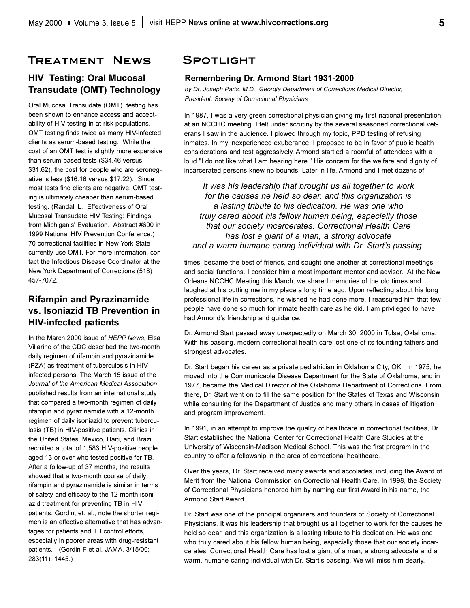# **Treatment News**

### **HIV Testing: Oral Mucosal Transudate (OMT) Technology**

Oral Mucosal Transudate (OMT) testing has been shown to enhance access and acceptability of HIV testing in at-risk populations. OMT testing finds twice as many HIV-infected clients as serum-based testing. While the cost of an OMT test is slightly more expensive than serum-based tests (\$34.46 versus \$31.62), the cost for people who are seronegative is less (\$16.16 versus \$17.22). Since most tests find clients are negative, OMT testing is ultimately cheaper than serum-based testing. (Randall L. Effectiveness of Oral Mucosal Transudate HIV Testing: Findings from Michigan's' Evaluation. Abstract #690 in 1999 National HIV Prevention Conference.) 70 correctional facilities in New York State currently use OMT. For more information, contact the Infectious Disease Coordinator at the New York Department of Corrections (518) 457-7072.

### **Rifampin and Pyrazinamide vs. Isoniazid TB Prevention in HIV-infected patients**

In the March 2000 issue of *HEPP News*, Elsa Villarino of the CDC described the two-month daily regimen of rifampin and pyrazinamide (PZA) as treatment of tuberculosis in HIVinfected persons. The March 15 issue of the *Journal of the American Medical Association* published results from an international study that compared a two-month regimen of daily rifampin and pyrazinamide with a 12-month regimen of daily isoniazid to prevent tuberculosis (TB) in HIV-positive patients. Clinics in the United States, Mexico, Haiti, and Brazil recruited a total of 1,583 HIV-positive people aged 13 or over who tested positive for TB. After a follow-up of 37 months, the results showed that a two-month course of daily rifampin and pyrazinamide is similar in terms of safety and efficacy to the 12-month isoniazid treatment for preventing TB in HIV patients. Gordin, et. al., note the shorter regimen is an effective alternative that has advantages for patients and TB control efforts, especially in poorer areas with drug-resistant patients. (Gordin F et al. JAMA. 3/15/00; 283(11): 1445.)

### **Spotlight**

### **Remembering Dr. Armond Start 1931-2000**

*by Dr. Joseph Paris, M.D., Georgia Department of Corrections Medical Director, President, Society of Correctional Physicians*

In 1987, I was a very green correctional physician giving my first national presentation at an NCCHC meeting. I felt under scrutiny by the several seasoned correctional veterans I saw in the audience. I plowed through my topic, PPD testing of refusing inmates. In my inexperienced exuberance, I proposed to be in favor of public health considerations and test aggressively. Armond startled a roomful of attendees with a loud "I do not like what I am hearing here." His concern for the welfare and dignity of incarcerated persons knew no bounds. Later in life, Armond and I met dozens of

*It was his leadership that brought us all together to work for the causes he held so dear, and this organization is a lasting tribute to his dedication. He was one who truly cared about his fellow human being, especially those that our society incarcerates. Correctional Health Care has lost a giant of a man, a strong advocate*  and a warm humane caring individual with Dr. Start's passing.

times, became the best of friends, and sought one another at correctional meetings and social functions. I consider him a most important mentor and adviser. At the New Orleans NCCHC Meeting this March, we shared memories of the old times and laughed at his putting me in my place a long time ago. Upon reflecting about his long professional life in corrections, he wished he had done more. I reassured him that few people have done so much for inmate health care as he did. I am privileged to have had Armond's friendship and guidance.

Dr. Armond Start passed away unexpectedly on March 30, 2000 in Tulsa, Oklahoma. With his passing, modern correctional health care lost one of its founding fathers and strongest advocates.

Dr. Start began his career as a private pediatrician in Oklahoma City, OK. In 1975, he moved into the Communicable Disease Department for the State of Oklahoma, and in 1977, became the Medical Director of the Oklahoma Department of Corrections. From there, Dr. Start went on to fill the same position for the States of Texas and Wisconsin while consulting for the Department of Justice and many others in cases of litigation and program improvement.

In 1991, in an attempt to improve the quality of healthcare in correctional facilities, Dr. Start established the National Center for Correctional Health Care Studies at the University of Wisconsin-Madison Medical School. This was the first program in the country to offer a fellowship in the area of correctional healthcare.

Over the years, Dr. Start received many awards and accolades, including the Award of Merit from the National Commission on Correctional Health Care. In 1998, the Society of Correctional Physicians honored him by naming our first Award in his name, the Armond Start Award.

Dr. Start was one of the principal organizers and founders of Society of Correctional Physicians. It was his leadership that brought us all together to work for the causes he held so dear, and this organization is a lasting tribute to his dedication. He was one who truly cared about his fellow human being, especially those that our society incarcerates. Correctional Health Care has lost a giant of a man, a strong advocate and a warm, humane caring individual with Dr. Start's passing. We will miss him dearly.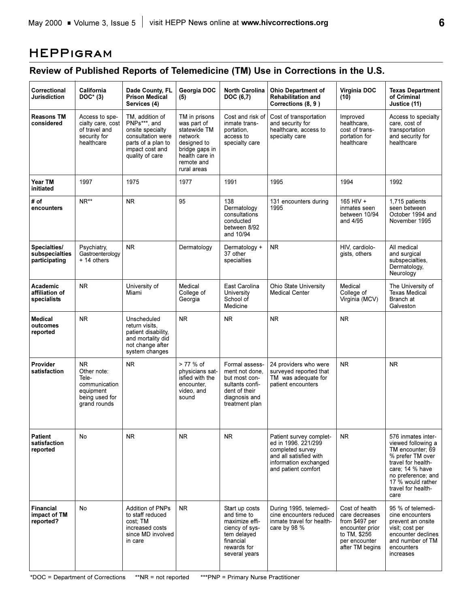# **HEPPigram**

# **Review of Published Reports of Telemedicine (TM) Use in Corrections in the U.S.**

| Correctional<br>Jurisdiction                    | <b>California</b><br>$DOC*(3)$                                                                         | Dade County, FL<br><b>Prison Medical</b><br>Services (4)                                                                             | Georgia DOC<br>(5)                                                                                                                      | <b>North Carolina</b><br>DOC (6,7)                                                                                            | <b>Ohio Department of</b><br><b>Rehabilitation and</b><br>Corrections (8, 9)                                                                 | Virginia DOC<br>(10)                                                                                                      | <b>Texas Department</b><br>of Criminal<br>Justice (11)                                                                                                                                             |
|-------------------------------------------------|--------------------------------------------------------------------------------------------------------|--------------------------------------------------------------------------------------------------------------------------------------|-----------------------------------------------------------------------------------------------------------------------------------------|-------------------------------------------------------------------------------------------------------------------------------|----------------------------------------------------------------------------------------------------------------------------------------------|---------------------------------------------------------------------------------------------------------------------------|----------------------------------------------------------------------------------------------------------------------------------------------------------------------------------------------------|
| <b>Reasons TM</b><br>considered                 | Access to spe-<br>cialty care, cost<br>of travel and<br>security for<br>healthcare                     | TM, addition of<br>PNPs***, and<br>onsite specialty<br>consultation were<br>parts of a plan to<br>impact cost and<br>quality of care | TM in prisons<br>was part of<br>statewide TM<br>network<br>designed to<br>bridge gaps in<br>health care in<br>remote and<br>rural areas | Cost and risk of<br>inmate trans-<br>portation,<br>access to<br>specialty care                                                | Cost of transportation<br>and security for<br>healthcare, access to<br>specialty care                                                        | Improved<br>healthcare,<br>cost of trans-<br>portation for<br>healthcare                                                  | Access to specialty<br>care, cost of<br>transportation<br>and security for<br>healthcare                                                                                                           |
| Year TM<br>initiated                            | 1997                                                                                                   | 1975                                                                                                                                 | 1977                                                                                                                                    | 1991                                                                                                                          | 1995                                                                                                                                         | 1994                                                                                                                      | 1992                                                                                                                                                                                               |
| # of<br>encounters                              | NR**                                                                                                   | <b>NR</b>                                                                                                                            | 95                                                                                                                                      | 138<br>Dermatology<br>consultations<br>conducted<br>between 8/92<br>and 10/94                                                 | 131 encounters during<br>1995                                                                                                                | 165 HIV +<br>inmates seen<br>between 10/94<br>and 4/95                                                                    | 1,715 patients<br>seen between<br>October 1994 and<br>November 1995                                                                                                                                |
| Specialties/<br>subspecialties<br>participating | Psychiatry,<br>Gastroenterology<br>+ 14 others                                                         | NR.                                                                                                                                  | Dermatology                                                                                                                             | Dermatology +<br>37 other<br>specialties                                                                                      | NR.                                                                                                                                          | HIV. cardiolo-<br>gists, others                                                                                           | All medical<br>and surgical<br>subspecialties.<br>Dermatology,<br>Neurology                                                                                                                        |
| Academic<br>affiliation of<br>specialists       | N <sub>R</sub>                                                                                         | University of<br>Miami                                                                                                               | Medical<br>College of<br>Georgia                                                                                                        | East Carolina<br>University<br>School of<br>Medicine                                                                          | <b>Ohio State University</b><br><b>Medical Center</b>                                                                                        | Medical<br>College of<br>Virginia (MCV)                                                                                   | The University of<br><b>Texas Medical</b><br>Branch at<br>Galveston                                                                                                                                |
| <b>Medical</b><br>outcomes<br>reported          | <b>NR</b>                                                                                              | Unscheduled<br>return visits.<br>patient disability,<br>and mortality did<br>not change after<br>system changes                      | <b>NR</b>                                                                                                                               | <b>NR</b>                                                                                                                     | <b>NR</b>                                                                                                                                    | <b>NR</b>                                                                                                                 |                                                                                                                                                                                                    |
| Provider<br>satisfaction                        | N <sub>R</sub><br>Other note:<br>Tele-<br>communication<br>equipment<br>being used for<br>grand rounds | NR.                                                                                                                                  | > 77 % of<br>physicians sat-<br>isfied with the<br>encounter.<br>video, and<br>sound                                                    | Formal assess-<br>ment not done,<br>but most con-<br>sultants confi-<br>dent of their<br>diagnosis and<br>treatment plan      | 24 providers who were<br>surveyed reported that<br>TM was adequate for<br>patient encounters                                                 | N <sub>R</sub>                                                                                                            | <b>NR</b>                                                                                                                                                                                          |
| <b>Patient</b><br>satisfaction<br>reported      | No                                                                                                     | <b>NR</b>                                                                                                                            | N <sub>R</sub>                                                                                                                          | <b>NR</b>                                                                                                                     | Patient survey complet-<br>ed in 1996, 221/299<br>completed survey<br>and all satisfied with<br>information exchanged<br>and patient comfort | <b>NR</b>                                                                                                                 | 576 inmates inter-<br>viewed following a<br>TM encounter; 69<br>% prefer TM over<br>travel for health-<br>care; 14 % have<br>no preference; and<br>17 % would rather<br>travel for health-<br>care |
| <b>Financial</b><br>impact of TM<br>reported?   | No                                                                                                     | <b>Addition of PNPs</b><br>to staff reduced<br>cost: TM<br>increased costs<br>since MD involved<br>in care                           | <b>NR</b>                                                                                                                               | Start up costs<br>and time to<br>maximize effi-<br>ciency of sys-<br>tem delayed<br>financial<br>rewards for<br>several years | During 1995, telemedi-<br>cine encounters reduced<br>inmate travel for health-<br>care by 98 $%$                                             | Cost of health<br>care decreases<br>from \$497 per<br>encounter prior<br>to TM, \$256<br>per encounter<br>after TM begins | 95 % of telemedi-<br>cine encounters<br>prevent an onsite<br>visit; cost per<br>encounter declines<br>and number of TM<br>encounters<br>increases                                                  |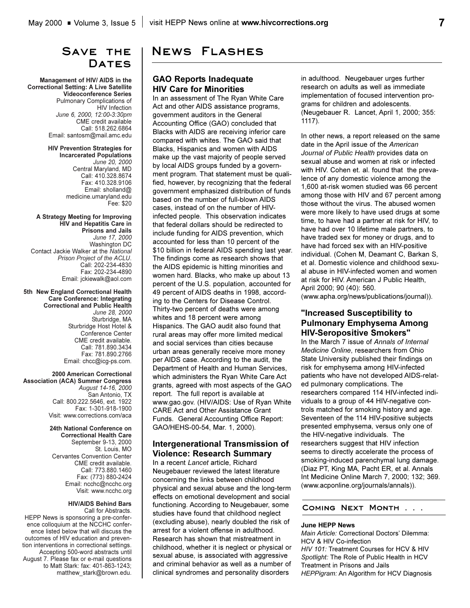## **Save the**  DATES

**Management of HIV/ AIDS in the Correctional Setting: A Live Satellite Videoconference Series** Pulmonary Complications of **HIV** Infection *June 6, 2000, 12:00-3:30pm* CME credit available Call: 518.262.6864 Email: santosm@mail.amc.edu

> **HIV Prevention Strategies for Incarcerated Populations** *June 20, 2000* Central Maryland, MD Call: 410.328.8674 Fax: 410.328.9106 Email: sholland@ medicine.umaryland.edu Fee: \$20

**A Strategy Meeting for Improving HIV and Hepatitis Care in Prisons and Jails** *June 17, 2000* Washington DC Contact Jackie Walker at the *National Prison Project of the ACLU*. Call: 202-234-4830 Fax: 202-234-4890 Email: jckiewalk@aol.com

**5th New England Correctional Health Care Conference: Integrating Correctional and Public Health** *June 28, 2000* Sturbridge, MA Sturbridge Host Hotel & Conference Center CME credit available. Call: 781.890.3434 Fax: 781.890.2766 Email: chcc@icg-ps.com.

**2000 American Correctional Association (ACA) Summer Congress** *August 14-16, 2000* San Antonio, TX Call: 800.222.5646, ext. 1922 Fax: 1-301-918-1900 Visit: www.corrections.com/aca

#### **24th National Conference on**

**Correctional Health Care**  September 9-13, 2000 St. Louis, MO Cervantes Convention Center CME credit available. Call: 773.880.1460 Fax: (773) 880-2424 Email: ncchc@ncchc.org Visit: www.ncchc.org

#### **HIV/AIDS Behind Bars**

Call for Abstracts. HEPP News is sponsoring a pre-conference colloquium at the NCCHC conference listed below that will discuss the outcomes of HIV education and prevention interventions in correctional settings. Accepting 500-word abstracts until August 7. Please fax or e-mail questions to Matt Stark: fax: 401-863-1243; matthew\_stark@brown.edu.

# **News Flashes**

### **GAO Reports Inadequate HIV Care for Minorities**

In an assessment of The Ryan White Care Act and other AIDS assistance programs, government auditors in the General Accounting Office (GAO) concluded that Blacks with AIDS are receiving inferior care compared with whites. The GAO said that Blacks, Hispanics and women with AIDS make up the vast majority of people served by local AIDS groups funded by a government program. That statement must be qualified, however, by recognizing that the federal government emphasized distribution of funds based on the number of full-blown AIDS cases, instead of on the number of HIVinfected people. This observation indicates that federal dollars should be redirected to include funding for AIDS prevention, which accounted for less than 10 percent of the \$10 billion in federal AIDS spending last year. The findings come as research shows that the AIDS epidemic is hitting minorities and women hard. Blacks, who make up about 13 percent of the U.S. population, accounted for 49 percent of AIDS deaths in 1998, according to the Centers for Disease Control. Thirty-two percent of deaths were among whites and 18 percent were among Hispanics. The GAO audit also found that rural areas may offer more limited medical and social services than cities because urban areas generally receive more money per AIDS case. According to the audit, the Department of Health and Human Services, which administers the Ryan White Care Act grants, agreed with most aspects of the GAO report. The full report is available at www.gao.gov. (HIV/AIDS: Use of Ryan White CARE Act and Other Assistance Grant Funds. General Accounting Office Report: GAO/HEHS-00-54, Mar. 1, 2000).

### **Intergenerational Transmission of Violence: Research Summary**

In a recent *Lancet* article, Richard Neugebauer reviewed the latest literature concerning the links between childhood physical and sexual abuse and the long-term effects on emotional development and social functioning. According to Neugebauer, some studies have found that childhood neglect (excluding abuse), nearly doubled the risk of arrest for a violent offense in adulthood. Research has shown that mistreatment in childhood, whether it is neglect or physical or sexual abuse, is associated with aggressive and criminal behavior as well as a number of clinical syndromes and personality disorders

in adulthood. Neugebauer urges further research on adults as well as immediate implementation of focused intervention programs for children and adolescents. (Neugebauer R. Lancet, April 1, 2000; 355: 1117).

In other news, a report released on the same date in the April issue of the *American Journal of Public Health* provides data on sexual abuse and women at risk or infected with HIV. Cohen et. al. found that the prevalence of any domestic violence among the 1,600 at-risk women studied was 66 percent among those with HIV and 67 percent among those without the virus. The abused women were more likely to have used drugs at some time, to have had a partner at risk for HIV, to have had over 10 lifetime male partners, to have traded sex for money or drugs, and to have had forced sex with an HIV-positive individual. (Cohen M, Deamant C, Barkan S, et al. Domestic violence and childhood sexual abuse in HIV-infected women and women at risk for HIV. American J Public Health, April 2000; 90 (40): 560. (www.apha.org/news/publications/journal)).

### **"Increased Susceptibility to Pulmonary Emphysema Among HIV-Seropositive Smokers"**

In the March 7 issue of *Annals of Internal Medicine Online*, researchers from Ohio State University published their findings on risk for emphysema among HIV-infected patients who have not developed AIDS-related pulmonary complications. The researchers compared 114 HIV-infected individuals to a group of 44 HIV-negative controls matched for smoking history and age. Seventeen of the 114 HIV-positive subjects presented emphysema, versus only one of the HIV-negative individuals. The researchers suggest that HIV infection seems to directly accelerate the process of smoking-induced parenchymal lung damage. (Diaz PT, King MA, Pacht ER, et al. Annals Int Medicine Online March 7, 2000; 132; 369. (www.acponline.org/journals/annals)).

#### **Coming Next Month . . .**

#### **June HEPP News**

*Main Article: Correctional Doctors' Dilemma:* HCV & HIV Co-infection *HIV 101:* Treatment Courses for HCV & HIV *Spotlight:* The Role of Public Health in HCV Treatment in Prisons and Jails *HEPPigram:* An Algorithm for HCV Diagnosis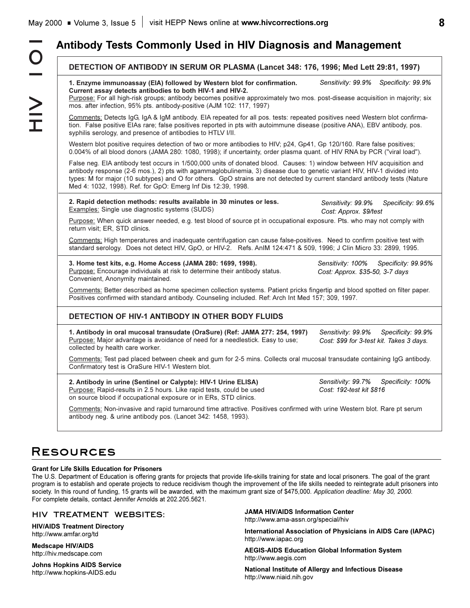# **Antibody Tests Commonly Used in HIV Diagnosis and Management**

| 1. Enzyme immunoassay (EIA) followed by Western blot for confirmation.<br>Current assay detects antibodies to both HIV-1 and HIV-2.<br>Purpose: For all high-risk groups; antibody becomes positive approximately two mos. post-disease acquisition in majority; six                                                                                                                                                                            | Sensitivity: 99.9%<br>Specificity: 99.9%                                             |
|-------------------------------------------------------------------------------------------------------------------------------------------------------------------------------------------------------------------------------------------------------------------------------------------------------------------------------------------------------------------------------------------------------------------------------------------------|--------------------------------------------------------------------------------------|
| mos. after infection, 95% pts. antibody-positive (AJM 102: 117, 1997)                                                                                                                                                                                                                                                                                                                                                                           |                                                                                      |
| Comments: Detects IgG, IgA & IgM antibody. EIA repeated for all pos. tests: repeated positives need Western blot confirma-<br>tion. False positive EIAs rare; false positives reported in pts with autoimmune disease (positive ANA), EBV antibody, pos.<br>syphilis serology, and presence of antibodies to HTLV I/II.                                                                                                                         |                                                                                      |
| Western blot positive requires detection of two or more antibodies to HIV; p24, Gp41, Gp 120/160. Rare false positives;<br>0.004% of all blood donors (JAMA 280: 1080, 1998); if uncertainty, order plasma quant. of HIV RNA by PCR ("viral load").                                                                                                                                                                                             |                                                                                      |
| False neg. EIA antibody test occurs in 1/500,000 units of donated blood. Causes: 1) window between HIV acquisition and<br>antibody response (2-6 mos.), 2) pts with agammaglobulinemia, 3) disease due to genetic variant HIV, HIV-1 divided into<br>types: M for major (10 subtypes) and O for others. GpO strains are not detected by current standard antibody tests (Nature<br>Med 4: 1032, 1998). Ref. for GpO: Emerg Inf Dis 12:39, 1998. |                                                                                      |
| 2. Rapid detection methods: results available in 30 minutes or less.<br><b>Examples:</b> Single use diagnostic systems (SUDS)                                                                                                                                                                                                                                                                                                                   | Sensitivity: 99.9%<br>Specificity: 99.6%<br>Cost: Approx. \$9/test                   |
| Purpose: When quick answer needed, e.g. test blood of source pt in occupational exposure. Pts. who may not comply with<br>return visit; ER, STD clinics.                                                                                                                                                                                                                                                                                        |                                                                                      |
| Comments: High temperatures and inadequate centrifugation can cause false-positives. Need to confirm positive test with<br>standard serology. Does not detect HIV, GpO, or HIV-2. Refs. AnIM 124:471 & 509, 1996; J Clin Micro 33: 2899, 1995.                                                                                                                                                                                                  |                                                                                      |
| 3. Home test kits, e.g. Home Access (JAMA 280: 1699, 1998).<br>Purpose: Encourage individuals at risk to determine their antibody status.<br>Convenient, Anonymity maintained.                                                                                                                                                                                                                                                                  | Sensitivity: 100%<br>Specificity: 99.95%<br>Cost: Approx. \$35-50, 3-7 days          |
| Comments: Better described as home specimen collection systems. Patient pricks fingertip and blood spotted on filter paper.<br>Positives confirmed with standard antibody. Counseling included. Ref: Arch Int Med 157; 309, 1997.                                                                                                                                                                                                               |                                                                                      |
| DETECTION OF HIV-1 ANTIBODY IN OTHER BODY FLUIDS                                                                                                                                                                                                                                                                                                                                                                                                |                                                                                      |
| 1. Antibody in oral mucosal transudate (OraSure) (Ref: JAMA 277: 254, 1997)<br>Purpose: Major advantage is avoidance of need for a needlestick. Easy to use;<br>collected by health care worker.                                                                                                                                                                                                                                                | Sensitivity: 99.9%<br>Specificity: 99.9%<br>Cost: \$99 for 3-test kit. Takes 3 days. |
| Comments: Test pad placed between cheek and gum for 2-5 mins. Collects oral mucosal transudate containing IgG antibody.<br>Confirmatory test is OraSure HIV-1 Western blot.                                                                                                                                                                                                                                                                     |                                                                                      |
|                                                                                                                                                                                                                                                                                                                                                                                                                                                 | Sensitivity: 99.7%<br>Specificity: 100%<br>Cost: 192-test kit \$816                  |
| 2. Antibody in urine (Sentinel or Calypte): HIV-1 Urine ELISA)<br>Purpose: Rapid-results in 2.5 hours. Like rapid tests, could be used<br>on source blood if occupational exposure or in ERs, STD clinics.                                                                                                                                                                                                                                      |                                                                                      |

# **Resources**

### **Grant for Life Skills Education for Prisoners**

The U.S. Department of Education is offering grants for projects that provide life-skills training for state and local prisoners. The goal of the grant program is to establish and operate projects to reduce recidivism though the improvement of the life skills needed to reintegrate adult prisoners into society. In this round of funding, 15 grants will be awarded, with the maximum grant size of \$475,000. *Application deadline: May 30, 2000.*  For complete details, contact Jennifer Arnolds at 202.205.5621.

### **HIV TREATMENT WEBSITES:**

**HIV/AIDS Treatment Directory**  http://www.amfar.org/td

**Medscape HIV/AIDS** http://hiv.medscape.com

**Johns Hopkins AIDS Service** http://www.hopkins-AIDS.edu

**JAMA HIV/AIDS Information Center** http://www.ama-assn.org/special/hiv

**International Association of Physicians in AIDS Care (IAPAC)** http://www.iapac.org

**AEGIS-AIDS Education Global Information System** http://www.aegis.com

**National Institute of Allergy and Infectious Disease** http://www.niaid.nih.gov